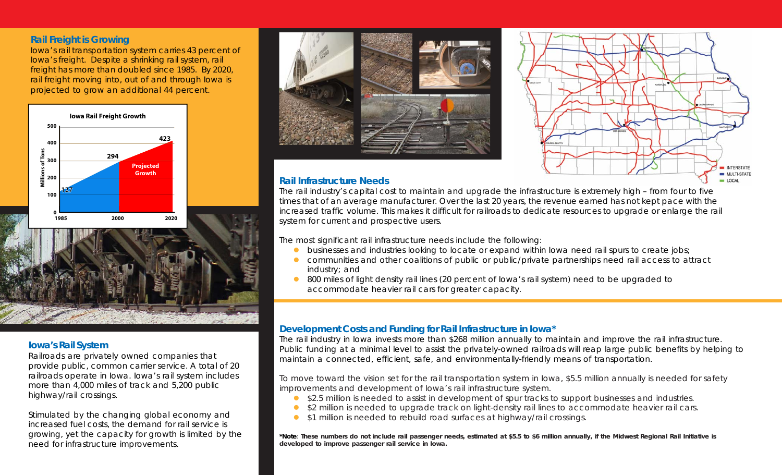### **Rail Freight is Growing**

Iowa's rail transportation system carries 43 percent of Iowa's freight. Despite a shrinking rail system, rail freight has more than doubled since 1985. By 2020, rail freight moving into, out of and through Iowa is projected to grow an additional 44 percent.



# **Iowa's Rail System**

Railroads are privately owned companies that provide public, common carrier service. A total of 20 railroads operate in Iowa. Iowa's rail system includes more than 4,000 miles of track and 5,200 public highway/rail crossings.

Stimulated by the changing global economy and increased fuel costs, the demand for rail service is growing, yet the capacity for growth is limited by the need for infrastructure improvements.





## **Rail Infrastructure Needs**

The rail industry's capital cost to maintain and upgrade the infrastructure is extremely high – from four to five times that of an average manufacturer. Over the last 20 years, the revenue earned has not kept pace with the increased traffic volume. This makes it difficult for railroads to dedicate resources to upgrade or enlarge the rail system for current and prospective users.

The most significant rail infrastructure needs include the following:

- **•** businesses and industries looking to locate or expand within Iowa need rail spurs to create jobs;
- communities and other coalitions of public or public/private partnerships need rail access to attract industry; and
- 800 miles of light density rail lines (20 percent of lowa's rail system) need to be upgraded to accommodate heavier rail cars for greater capacity.

# **Development Costs and Funding for Rail Infrastructure in Iowa\***

The rail industry in Iowa invests more than \$268 million annually to maintain and improve the rail infrastructure. Public funding at a minimal level to assist the privately-owned railroads will reap large public benefits by helping to maintain a connected, efficient, safe, and environmentally-friendly means of transportation.

To move toward the vision set for the rail transportation system in Iowa, \$5.5 million annually is needed for safety improvements and development of Iowa's rail infrastructure system.

- \$2.5 million is needed to assist in development of spur tracks to support businesses and industries.
- \$2 million is needed to upgrade track on light-density rail lines to accommodate heavier rail cars.
- \$1 million is needed to rebuild road surfaces at highway/rail crossings.

**\*Note**: **These numbers do not include rail passenger needs, estimated at \$5.5 to \$6 million annually, if the Midwest Regional Rail Initiative is developed to improve passenger rail service in Iowa.**